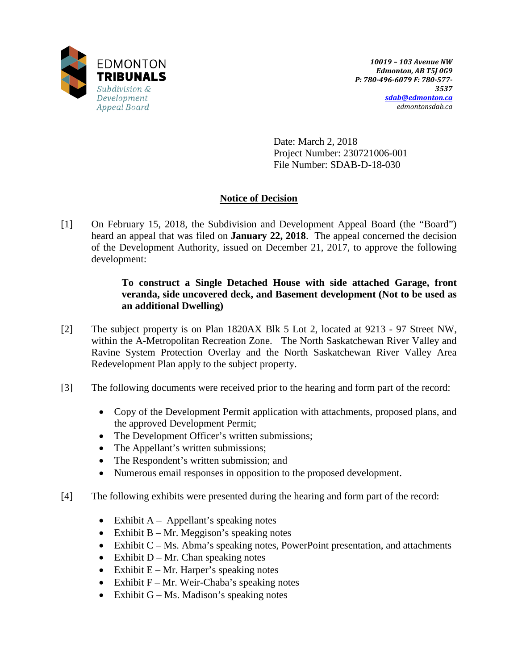

Date: March 2, 2018 Project Number: 230721006-001 File Number: SDAB-D-18-030

# **Notice of Decision**

[1] On February 15, 2018, the Subdivision and Development Appeal Board (the "Board") heard an appeal that was filed on **January 22, 2018**. The appeal concerned the decision of the Development Authority, issued on December 21, 2017, to approve the following development:

# **To construct a Single Detached House with side attached Garage, front veranda, side uncovered deck, and Basement development (Not to be used as an additional Dwelling)**

- [2] The subject property is on Plan 1820AX Blk 5 Lot 2, located at 9213 97 Street NW, within the A-Metropolitan Recreation Zone. The North Saskatchewan River Valley and Ravine System Protection Overlay and the North Saskatchewan River Valley Area Redevelopment Plan apply to the subject property.
- [3] The following documents were received prior to the hearing and form part of the record:
	- Copy of the Development Permit application with attachments, proposed plans, and the approved Development Permit;
	- The Development Officer's written submissions;
	- The Appellant's written submissions;
	- The Respondent's written submission; and
	- Numerous email responses in opposition to the proposed development.
- [4] The following exhibits were presented during the hearing and form part of the record:
	- Exhibit  $A Appellant's speaking notes$
	- Exhibit  $B Mr$ . Meggison's speaking notes
	- Exhibit C Ms. Abma's speaking notes, PowerPoint presentation, and attachments
	- Exhibit  $D Mr$ . Chan speaking notes
	- Exhibit  $E Mr$ . Harper's speaking notes
	- Exhibit  $F Mr$ . Weir-Chaba's speaking notes
	- Exhibit  $G Ms$ . Madison's speaking notes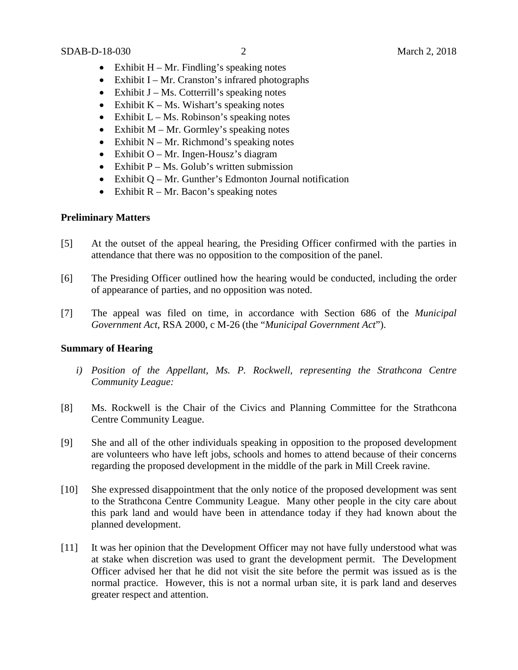- Exhibit  $H Mr$ . Findling's speaking notes
- Exhibit I Mr. Cranston's infrared photographs
- Exhibit  $J Ms$ . Cotterrill's speaking notes
- Exhibit  $K Ms$ . Wishart's speaking notes
- Exhibit  $L Ms$ . Robinson's speaking notes
- Exhibit  $M Mr$ . Gormley's speaking notes
- Exhibit  $N Mr$ . Richmond's speaking notes
- Exhibit O Mr. Ingen-Housz's diagram
- Exhibit  $P Ms$ . Golub's written submission
- Exhibit Q Mr. Gunther's Edmonton Journal notification
- Exhibit  $R Mr$ . Bacon's speaking notes

# **Preliminary Matters**

- [5] At the outset of the appeal hearing, the Presiding Officer confirmed with the parties in attendance that there was no opposition to the composition of the panel.
- [6] The Presiding Officer outlined how the hearing would be conducted, including the order of appearance of parties, and no opposition was noted.
- [7] The appeal was filed on time, in accordance with Section 686 of the *Municipal Government Act*, RSA 2000, c M-26 (the "*Municipal Government Act*").

# **Summary of Hearing**

- *i) Position of the Appellant, Ms. P. Rockwell, representing the Strathcona Centre Community League:*
- [8] Ms. Rockwell is the Chair of the Civics and Planning Committee for the Strathcona Centre Community League.
- [9] She and all of the other individuals speaking in opposition to the proposed development are volunteers who have left jobs, schools and homes to attend because of their concerns regarding the proposed development in the middle of the park in Mill Creek ravine.
- [10] She expressed disappointment that the only notice of the proposed development was sent to the Strathcona Centre Community League. Many other people in the city care about this park land and would have been in attendance today if they had known about the planned development.
- [11] It was her opinion that the Development Officer may not have fully understood what was at stake when discretion was used to grant the development permit. The Development Officer advised her that he did not visit the site before the permit was issued as is the normal practice. However, this is not a normal urban site, it is park land and deserves greater respect and attention.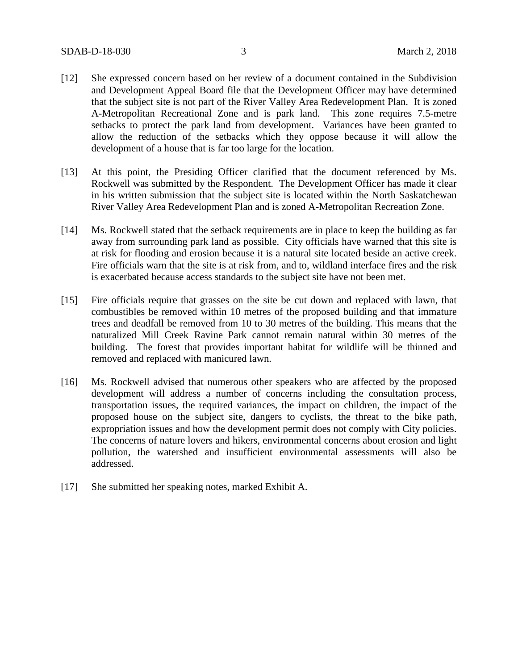- [12] She expressed concern based on her review of a document contained in the Subdivision and Development Appeal Board file that the Development Officer may have determined that the subject site is not part of the River Valley Area Redevelopment Plan. It is zoned A-Metropolitan Recreational Zone and is park land. This zone requires 7.5-metre setbacks to protect the park land from development. Variances have been granted to allow the reduction of the setbacks which they oppose because it will allow the development of a house that is far too large for the location.
- [13] At this point, the Presiding Officer clarified that the document referenced by Ms. Rockwell was submitted by the Respondent. The Development Officer has made it clear in his written submission that the subject site is located within the North Saskatchewan River Valley Area Redevelopment Plan and is zoned A-Metropolitan Recreation Zone.
- [14] Ms. Rockwell stated that the setback requirements are in place to keep the building as far away from surrounding park land as possible. City officials have warned that this site is at risk for flooding and erosion because it is a natural site located beside an active creek. Fire officials warn that the site is at risk from, and to, wildland interface fires and the risk is exacerbated because access standards to the subject site have not been met.
- [15] Fire officials require that grasses on the site be cut down and replaced with lawn, that combustibles be removed within 10 metres of the proposed building and that immature trees and deadfall be removed from 10 to 30 metres of the building. This means that the naturalized Mill Creek Ravine Park cannot remain natural within 30 metres of the building. The forest that provides important habitat for wildlife will be thinned and removed and replaced with manicured lawn.
- [16] Ms. Rockwell advised that numerous other speakers who are affected by the proposed development will address a number of concerns including the consultation process, transportation issues, the required variances, the impact on children, the impact of the proposed house on the subject site, dangers to cyclists, the threat to the bike path, expropriation issues and how the development permit does not comply with City policies. The concerns of nature lovers and hikers, environmental concerns about erosion and light pollution, the watershed and insufficient environmental assessments will also be addressed.
- [17] She submitted her speaking notes, marked Exhibit A.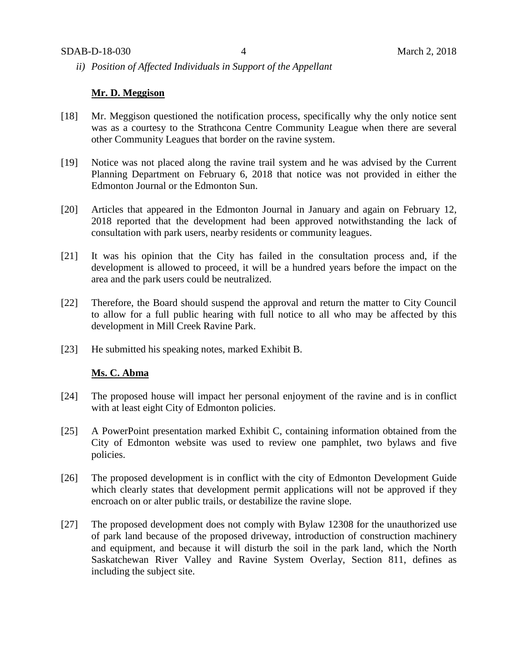*ii) Position of Affected Individuals in Support of the Appellant*

## **Mr. D. Meggison**

- [18] Mr. Meggison questioned the notification process, specifically why the only notice sent was as a courtesy to the Strathcona Centre Community League when there are several other Community Leagues that border on the ravine system.
- [19] Notice was not placed along the ravine trail system and he was advised by the Current Planning Department on February 6, 2018 that notice was not provided in either the Edmonton Journal or the Edmonton Sun.
- [20] Articles that appeared in the Edmonton Journal in January and again on February 12, 2018 reported that the development had been approved notwithstanding the lack of consultation with park users, nearby residents or community leagues.
- [21] It was his opinion that the City has failed in the consultation process and, if the development is allowed to proceed, it will be a hundred years before the impact on the area and the park users could be neutralized.
- [22] Therefore, the Board should suspend the approval and return the matter to City Council to allow for a full public hearing with full notice to all who may be affected by this development in Mill Creek Ravine Park.
- [23] He submitted his speaking notes, marked Exhibit B.

## **Ms. C. Abma**

- [24] The proposed house will impact her personal enjoyment of the ravine and is in conflict with at least eight City of Edmonton policies.
- [25] A PowerPoint presentation marked Exhibit C, containing information obtained from the City of Edmonton website was used to review one pamphlet, two bylaws and five policies.
- [26] The proposed development is in conflict with the city of Edmonton Development Guide which clearly states that development permit applications will not be approved if they encroach on or alter public trails, or destabilize the ravine slope.
- [27] The proposed development does not comply with Bylaw 12308 for the unauthorized use of park land because of the proposed driveway, introduction of construction machinery and equipment, and because it will disturb the soil in the park land, which the North Saskatchewan River Valley and Ravine System Overlay, Section 811, defines as including the subject site.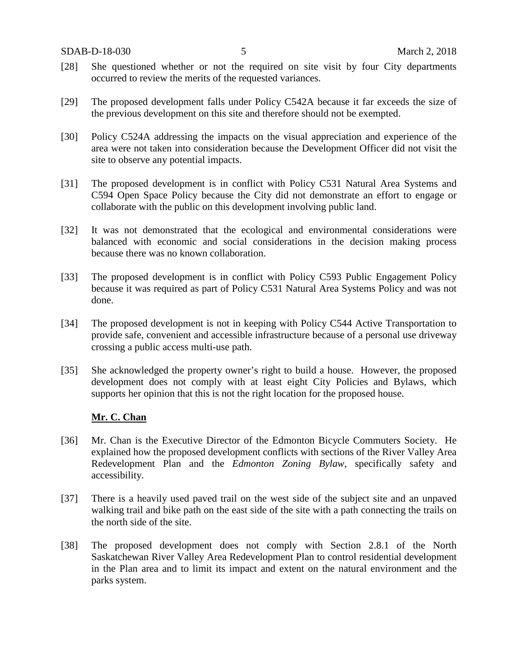- [28] She questioned whether or not the required on site visit by four City departments occurred to review the merits of the requested variances.
- [29] The proposed development falls under Policy C542A because it far exceeds the size of the previous development on this site and therefore should not be exempted.
- [30] Policy C524A addressing the impacts on the visual appreciation and experience of the area were not taken into consideration because the Development Officer did not visit the site to observe any potential impacts.
- [31] The proposed development is in conflict with Policy C531 Natural Area Systems and C594 Open Space Policy because the City did not demonstrate an effort to engage or collaborate with the public on this development involving public land.
- [32] It was not demonstrated that the ecological and environmental considerations were balanced with economic and social considerations in the decision making process because there was no known collaboration.
- [33] The proposed development is in conflict with Policy C593 Public Engagement Policy because it was required as part of Policy C531 Natural Area Systems Policy and was not done.
- [34] The proposed development is not in keeping with Policy C544 Active Transportation to provide safe, convenient and accessible infrastructure because of a personal use driveway crossing a public access multi-use path.
- [35] She acknowledged the property owner's right to build a house. However, the proposed development does not comply with at least eight City Policies and Bylaws, which supports her opinion that this is not the right location for the proposed house.

# **Mr. C. Chan**

- [36] Mr. Chan is the Executive Director of the Edmonton Bicycle Commuters Society. He explained how the proposed development conflicts with sections of the River Valley Area Redevelopment Plan and the *Edmonton Zoning Bylaw*, specifically safety and accessibility.
- [37] There is a heavily used paved trail on the west side of the subject site and an unpaved walking trail and bike path on the east side of the site with a path connecting the trails on the north side of the site.
- [38] The proposed development does not comply with Section 2.8.1 of the North Saskatchewan River Valley Area Redevelopment Plan to control residential development in the Plan area and to limit its impact and extent on the natural environment and the parks system.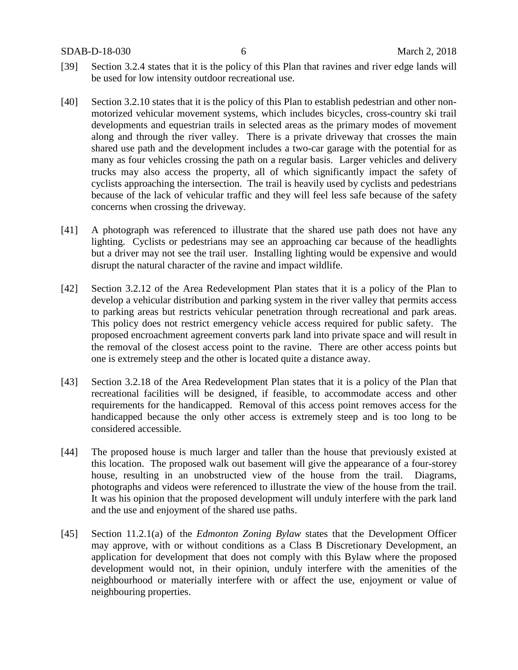SDAB-D-18-030 6 March 2, 2018

- [39] Section 3.2.4 states that it is the policy of this Plan that ravines and river edge lands will be used for low intensity outdoor recreational use.
- [40] Section 3.2.10 states that it is the policy of this Plan to establish pedestrian and other nonmotorized vehicular movement systems, which includes bicycles, cross-country ski trail developments and equestrian trails in selected areas as the primary modes of movement along and through the river valley. There is a private driveway that crosses the main shared use path and the development includes a two-car garage with the potential for as many as four vehicles crossing the path on a regular basis. Larger vehicles and delivery trucks may also access the property, all of which significantly impact the safety of cyclists approaching the intersection. The trail is heavily used by cyclists and pedestrians because of the lack of vehicular traffic and they will feel less safe because of the safety concerns when crossing the driveway.
- [41] A photograph was referenced to illustrate that the shared use path does not have any lighting. Cyclists or pedestrians may see an approaching car because of the headlights but a driver may not see the trail user. Installing lighting would be expensive and would disrupt the natural character of the ravine and impact wildlife.
- [42] Section 3.2.12 of the Area Redevelopment Plan states that it is a policy of the Plan to develop a vehicular distribution and parking system in the river valley that permits access to parking areas but restricts vehicular penetration through recreational and park areas. This policy does not restrict emergency vehicle access required for public safety. The proposed encroachment agreement converts park land into private space and will result in the removal of the closest access point to the ravine. There are other access points but one is extremely steep and the other is located quite a distance away.
- [43] Section 3.2.18 of the Area Redevelopment Plan states that it is a policy of the Plan that recreational facilities will be designed, if feasible, to accommodate access and other requirements for the handicapped. Removal of this access point removes access for the handicapped because the only other access is extremely steep and is too long to be considered accessible.
- [44] The proposed house is much larger and taller than the house that previously existed at this location. The proposed walk out basement will give the appearance of a four-storey house, resulting in an unobstructed view of the house from the trail. Diagrams, photographs and videos were referenced to illustrate the view of the house from the trail. It was his opinion that the proposed development will unduly interfere with the park land and the use and enjoyment of the shared use paths.
- [45] Section 11.2.1(a) of the *Edmonton Zoning Bylaw* states that the Development Officer may approve, with or without conditions as a Class B Discretionary Development, an application for development that does not comply with this Bylaw where the proposed development would not, in their opinion, unduly interfere with the amenities of the neighbourhood or materially interfere with or affect the use, enjoyment or value of neighbouring properties.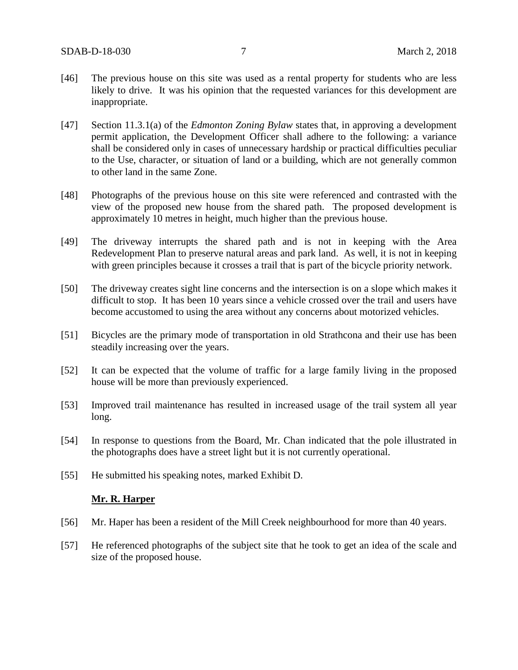- [46] The previous house on this site was used as a rental property for students who are less likely to drive. It was his opinion that the requested variances for this development are inappropriate.
- [47] Section 11.3.1(a) of the *Edmonton Zoning Bylaw* states that, in approving a development permit application, the Development Officer shall adhere to the following: a variance shall be considered only in cases of unnecessary hardship or practical difficulties peculiar to the Use, character, or situation of land or a building, which are not generally common to other land in the same Zone.
- [48] Photographs of the previous house on this site were referenced and contrasted with the view of the proposed new house from the shared path. The proposed development is approximately 10 metres in height, much higher than the previous house.
- [49] The driveway interrupts the shared path and is not in keeping with the Area Redevelopment Plan to preserve natural areas and park land. As well, it is not in keeping with green principles because it crosses a trail that is part of the bicycle priority network.
- [50] The driveway creates sight line concerns and the intersection is on a slope which makes it difficult to stop. It has been 10 years since a vehicle crossed over the trail and users have become accustomed to using the area without any concerns about motorized vehicles.
- [51] Bicycles are the primary mode of transportation in old Strathcona and their use has been steadily increasing over the years.
- [52] It can be expected that the volume of traffic for a large family living in the proposed house will be more than previously experienced.
- [53] Improved trail maintenance has resulted in increased usage of the trail system all year long.
- [54] In response to questions from the Board, Mr. Chan indicated that the pole illustrated in the photographs does have a street light but it is not currently operational.
- [55] He submitted his speaking notes, marked Exhibit D.

## **Mr. R. Harper**

- [56] Mr. Haper has been a resident of the Mill Creek neighbourhood for more than 40 years.
- [57] He referenced photographs of the subject site that he took to get an idea of the scale and size of the proposed house.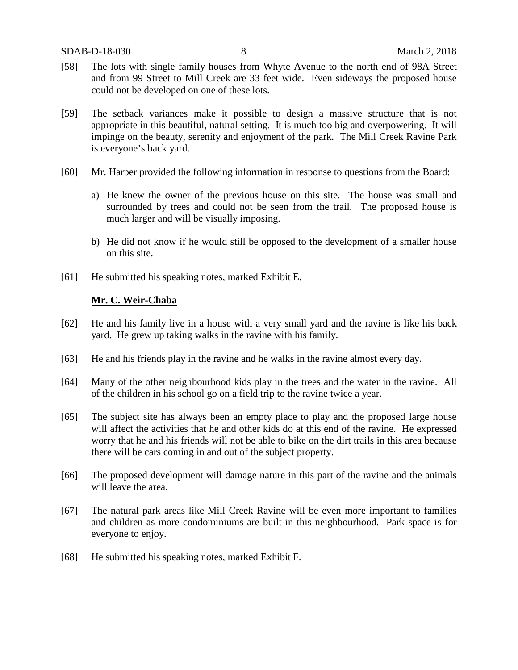- [58] The lots with single family houses from Whyte Avenue to the north end of 98A Street and from 99 Street to Mill Creek are 33 feet wide. Even sideways the proposed house could not be developed on one of these lots.
- [59] The setback variances make it possible to design a massive structure that is not appropriate in this beautiful, natural setting. It is much too big and overpowering. It will impinge on the beauty, serenity and enjoyment of the park. The Mill Creek Ravine Park is everyone's back yard.
- [60] Mr. Harper provided the following information in response to questions from the Board:
	- a) He knew the owner of the previous house on this site. The house was small and surrounded by trees and could not be seen from the trail. The proposed house is much larger and will be visually imposing.
	- b) He did not know if he would still be opposed to the development of a smaller house on this site.
- [61] He submitted his speaking notes, marked Exhibit E.

## **Mr. C. Weir-Chaba**

- [62] He and his family live in a house with a very small yard and the ravine is like his back yard. He grew up taking walks in the ravine with his family.
- [63] He and his friends play in the ravine and he walks in the ravine almost every day.
- [64] Many of the other neighbourhood kids play in the trees and the water in the ravine. All of the children in his school go on a field trip to the ravine twice a year.
- [65] The subject site has always been an empty place to play and the proposed large house will affect the activities that he and other kids do at this end of the ravine. He expressed worry that he and his friends will not be able to bike on the dirt trails in this area because there will be cars coming in and out of the subject property.
- [66] The proposed development will damage nature in this part of the ravine and the animals will leave the area.
- [67] The natural park areas like Mill Creek Ravine will be even more important to families and children as more condominiums are built in this neighbourhood. Park space is for everyone to enjoy.
- [68] He submitted his speaking notes, marked Exhibit F.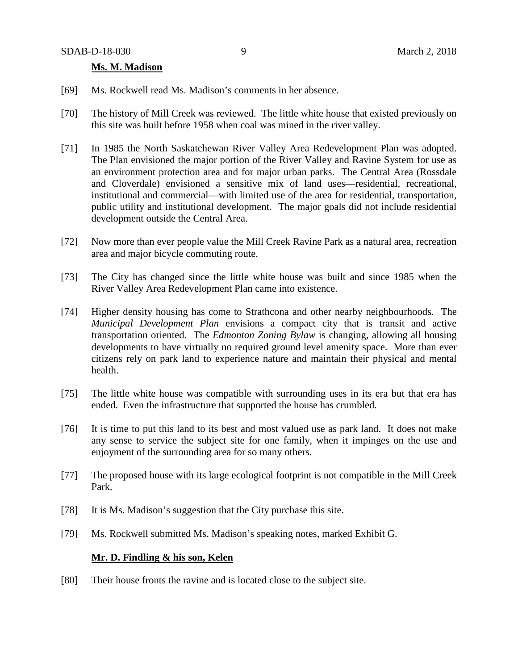## **Ms. M. Madison**

- [69] Ms. Rockwell read Ms. Madison's comments in her absence.
- [70] The history of Mill Creek was reviewed. The little white house that existed previously on this site was built before 1958 when coal was mined in the river valley.
- [71] In 1985 the North Saskatchewan River Valley Area Redevelopment Plan was adopted. The Plan envisioned the major portion of the River Valley and Ravine System for use as an environment protection area and for major urban parks. The Central Area (Rossdale and Cloverdale) envisioned a sensitive mix of land uses—residential, recreational, institutional and commercial—with limited use of the area for residential, transportation, public utility and institutional development. The major goals did not include residential development outside the Central Area.
- [72] Now more than ever people value the Mill Creek Ravine Park as a natural area, recreation area and major bicycle commuting route.
- [73] The City has changed since the little white house was built and since 1985 when the River Valley Area Redevelopment Plan came into existence.
- [74] Higher density housing has come to Strathcona and other nearby neighbourhoods. The *Municipal Development Plan* envisions a compact city that is transit and active transportation oriented. The *Edmonton Zoning Bylaw* is changing, allowing all housing developments to have virtually no required ground level amenity space. More than ever citizens rely on park land to experience nature and maintain their physical and mental health.
- [75] The little white house was compatible with surrounding uses in its era but that era has ended. Even the infrastructure that supported the house has crumbled.
- [76] It is time to put this land to its best and most valued use as park land. It does not make any sense to service the subject site for one family, when it impinges on the use and enjoyment of the surrounding area for so many others.
- [77] The proposed house with its large ecological footprint is not compatible in the Mill Creek Park.
- [78] It is Ms. Madison's suggestion that the City purchase this site.
- [79] Ms. Rockwell submitted Ms. Madison's speaking notes, marked Exhibit G.

# **Mr. D. Findling & his son, Kelen**

[80] Their house fronts the ravine and is located close to the subject site.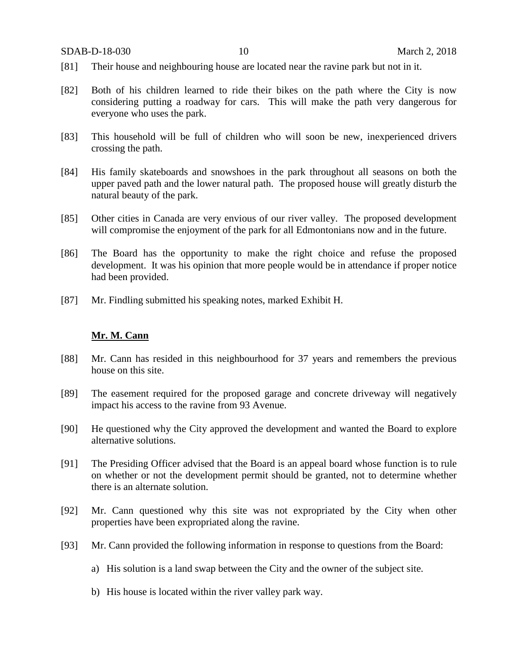- [81] Their house and neighbouring house are located near the ravine park but not in it.
- [82] Both of his children learned to ride their bikes on the path where the City is now considering putting a roadway for cars. This will make the path very dangerous for everyone who uses the park.
- [83] This household will be full of children who will soon be new, inexperienced drivers crossing the path.
- [84] His family skateboards and snowshoes in the park throughout all seasons on both the upper paved path and the lower natural path. The proposed house will greatly disturb the natural beauty of the park.
- [85] Other cities in Canada are very envious of our river valley. The proposed development will compromise the enjoyment of the park for all Edmontonians now and in the future.
- [86] The Board has the opportunity to make the right choice and refuse the proposed development. It was his opinion that more people would be in attendance if proper notice had been provided.
- [87] Mr. Findling submitted his speaking notes, marked Exhibit H.

#### **Mr. M. Cann**

- [88] Mr. Cann has resided in this neighbourhood for 37 years and remembers the previous house on this site.
- [89] The easement required for the proposed garage and concrete driveway will negatively impact his access to the ravine from 93 Avenue.
- [90] He questioned why the City approved the development and wanted the Board to explore alternative solutions.
- [91] The Presiding Officer advised that the Board is an appeal board whose function is to rule on whether or not the development permit should be granted, not to determine whether there is an alternate solution.
- [92] Mr. Cann questioned why this site was not expropriated by the City when other properties have been expropriated along the ravine.
- [93] Mr. Cann provided the following information in response to questions from the Board:
	- a) His solution is a land swap between the City and the owner of the subject site.
	- b) His house is located within the river valley park way.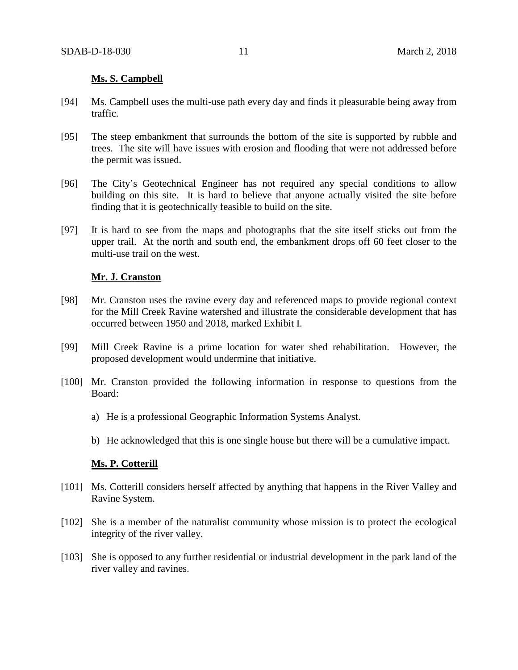## **Ms. S. Campbell**

- [94] Ms. Campbell uses the multi-use path every day and finds it pleasurable being away from traffic.
- [95] The steep embankment that surrounds the bottom of the site is supported by rubble and trees. The site will have issues with erosion and flooding that were not addressed before the permit was issued.
- [96] The City's Geotechnical Engineer has not required any special conditions to allow building on this site. It is hard to believe that anyone actually visited the site before finding that it is geotechnically feasible to build on the site.
- [97] It is hard to see from the maps and photographs that the site itself sticks out from the upper trail. At the north and south end, the embankment drops off 60 feet closer to the multi-use trail on the west.

## **Mr. J. Cranston**

- [98] Mr. Cranston uses the ravine every day and referenced maps to provide regional context for the Mill Creek Ravine watershed and illustrate the considerable development that has occurred between 1950 and 2018, marked Exhibit I.
- [99] Mill Creek Ravine is a prime location for water shed rehabilitation. However, the proposed development would undermine that initiative.
- [100] Mr. Cranston provided the following information in response to questions from the Board:
	- a) He is a professional Geographic Information Systems Analyst.
	- b) He acknowledged that this is one single house but there will be a cumulative impact.

# **Ms. P. Cotterill**

- [101] Ms. Cotterill considers herself affected by anything that happens in the River Valley and Ravine System.
- [102] She is a member of the naturalist community whose mission is to protect the ecological integrity of the river valley.
- [103] She is opposed to any further residential or industrial development in the park land of the river valley and ravines.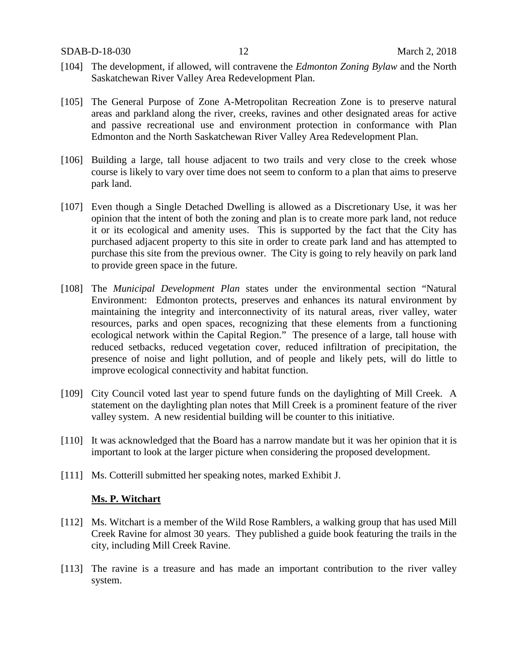- [104] The development, if allowed, will contravene the *Edmonton Zoning Bylaw* and the North Saskatchewan River Valley Area Redevelopment Plan.
- [105] The General Purpose of Zone A-Metropolitan Recreation Zone is to preserve natural areas and parkland along the river, creeks, ravines and other designated areas for active and passive recreational use and environment protection in conformance with Plan Edmonton and the North Saskatchewan River Valley Area Redevelopment Plan.
- [106] Building a large, tall house adjacent to two trails and very close to the creek whose course is likely to vary over time does not seem to conform to a plan that aims to preserve park land.
- [107] Even though a Single Detached Dwelling is allowed as a Discretionary Use, it was her opinion that the intent of both the zoning and plan is to create more park land, not reduce it or its ecological and amenity uses. This is supported by the fact that the City has purchased adjacent property to this site in order to create park land and has attempted to purchase this site from the previous owner. The City is going to rely heavily on park land to provide green space in the future.
- [108] The *Municipal Development Plan* states under the environmental section "Natural Environment: Edmonton protects, preserves and enhances its natural environment by maintaining the integrity and interconnectivity of its natural areas, river valley, water resources, parks and open spaces, recognizing that these elements from a functioning ecological network within the Capital Region." The presence of a large, tall house with reduced setbacks, reduced vegetation cover, reduced infiltration of precipitation, the presence of noise and light pollution, and of people and likely pets, will do little to improve ecological connectivity and habitat function.
- [109] City Council voted last year to spend future funds on the daylighting of Mill Creek. A statement on the daylighting plan notes that Mill Creek is a prominent feature of the river valley system. A new residential building will be counter to this initiative.
- [110] It was acknowledged that the Board has a narrow mandate but it was her opinion that it is important to look at the larger picture when considering the proposed development.
- [111] Ms. Cotterill submitted her speaking notes, marked Exhibit J.

## **Ms. P. Witchart**

- [112] Ms. Witchart is a member of the Wild Rose Ramblers, a walking group that has used Mill Creek Ravine for almost 30 years. They published a guide book featuring the trails in the city, including Mill Creek Ravine.
- [113] The ravine is a treasure and has made an important contribution to the river valley system.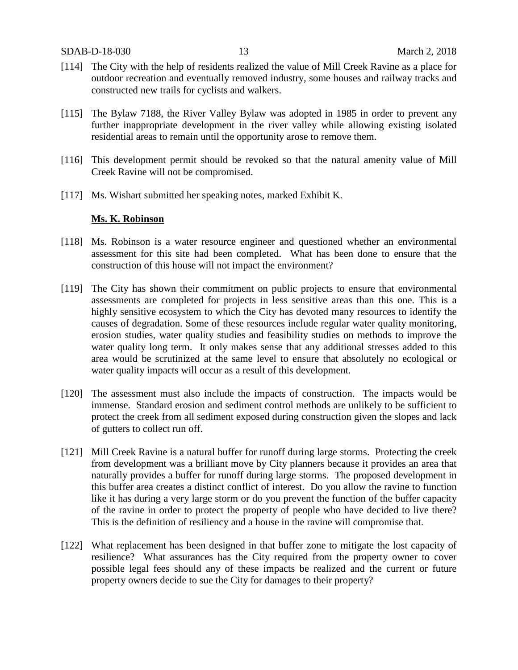- [114] The City with the help of residents realized the value of Mill Creek Ravine as a place for outdoor recreation and eventually removed industry, some houses and railway tracks and constructed new trails for cyclists and walkers.
- [115] The Bylaw 7188, the River Valley Bylaw was adopted in 1985 in order to prevent any further inappropriate development in the river valley while allowing existing isolated residential areas to remain until the opportunity arose to remove them.
- [116] This development permit should be revoked so that the natural amenity value of Mill Creek Ravine will not be compromised.
- [117] Ms. Wishart submitted her speaking notes, marked Exhibit K.

## **Ms. K. Robinson**

- [118] Ms. Robinson is a water resource engineer and questioned whether an environmental assessment for this site had been completed. What has been done to ensure that the construction of this house will not impact the environment?
- [119] The City has shown their commitment on public projects to ensure that environmental assessments are completed for projects in less sensitive areas than this one. This is a highly sensitive ecosystem to which the City has devoted many resources to identify the causes of degradation. Some of these resources include regular water quality monitoring, erosion studies, water quality studies and feasibility studies on methods to improve the water quality long term. It only makes sense that any additional stresses added to this area would be scrutinized at the same level to ensure that absolutely no ecological or water quality impacts will occur as a result of this development.
- [120] The assessment must also include the impacts of construction. The impacts would be immense. Standard erosion and sediment control methods are unlikely to be sufficient to protect the creek from all sediment exposed during construction given the slopes and lack of gutters to collect run off.
- [121] Mill Creek Ravine is a natural buffer for runoff during large storms. Protecting the creek from development was a brilliant move by City planners because it provides an area that naturally provides a buffer for runoff during large storms. The proposed development in this buffer area creates a distinct conflict of interest. Do you allow the ravine to function like it has during a very large storm or do you prevent the function of the buffer capacity of the ravine in order to protect the property of people who have decided to live there? This is the definition of resiliency and a house in the ravine will compromise that.
- [122] What replacement has been designed in that buffer zone to mitigate the lost capacity of resilience? What assurances has the City required from the property owner to cover possible legal fees should any of these impacts be realized and the current or future property owners decide to sue the City for damages to their property?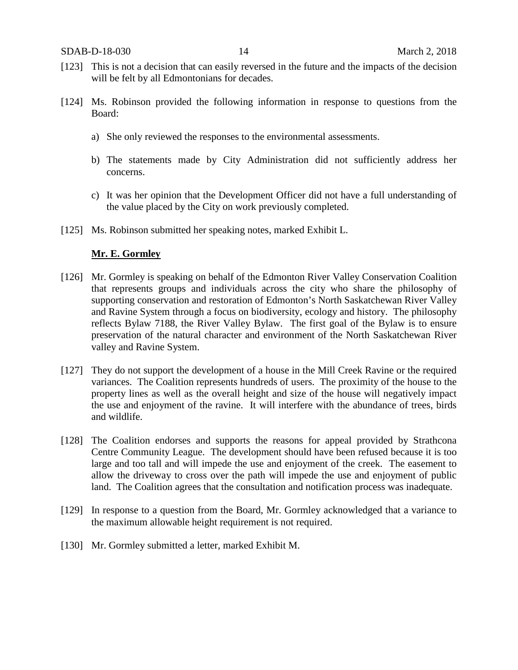- [123] This is not a decision that can easily reversed in the future and the impacts of the decision will be felt by all Edmontonians for decades.
- [124] Ms. Robinson provided the following information in response to questions from the Board:
	- a) She only reviewed the responses to the environmental assessments.
	- b) The statements made by City Administration did not sufficiently address her concerns.
	- c) It was her opinion that the Development Officer did not have a full understanding of the value placed by the City on work previously completed.
- [125] Ms. Robinson submitted her speaking notes, marked Exhibit L.

## **Mr. E. Gormley**

- [126] Mr. Gormley is speaking on behalf of the Edmonton River Valley Conservation Coalition that represents groups and individuals across the city who share the philosophy of supporting conservation and restoration of Edmonton's North Saskatchewan River Valley and Ravine System through a focus on biodiversity, ecology and history. The philosophy reflects Bylaw 7188, the River Valley Bylaw. The first goal of the Bylaw is to ensure preservation of the natural character and environment of the North Saskatchewan River valley and Ravine System.
- [127] They do not support the development of a house in the Mill Creek Ravine or the required variances. The Coalition represents hundreds of users. The proximity of the house to the property lines as well as the overall height and size of the house will negatively impact the use and enjoyment of the ravine. It will interfere with the abundance of trees, birds and wildlife.
- [128] The Coalition endorses and supports the reasons for appeal provided by Strathcona Centre Community League. The development should have been refused because it is too large and too tall and will impede the use and enjoyment of the creek. The easement to allow the driveway to cross over the path will impede the use and enjoyment of public land. The Coalition agrees that the consultation and notification process was inadequate.
- [129] In response to a question from the Board, Mr. Gormley acknowledged that a variance to the maximum allowable height requirement is not required.
- [130] Mr. Gormley submitted a letter, marked Exhibit M.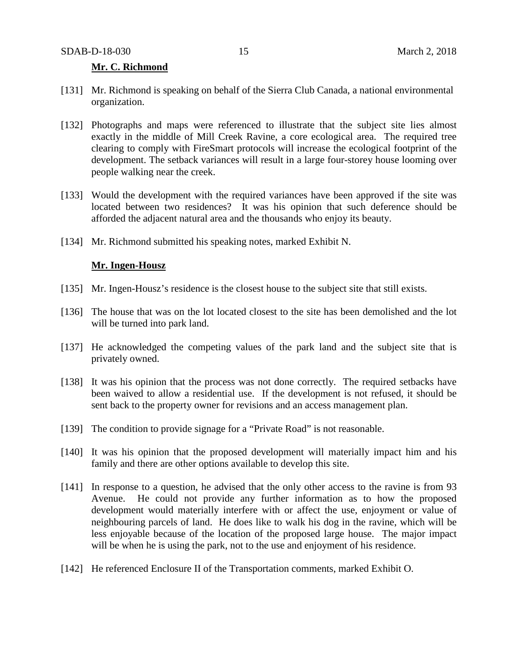### **Mr. C. Richmond**

- [131] Mr. Richmond is speaking on behalf of the Sierra Club Canada, a national environmental organization.
- [132] Photographs and maps were referenced to illustrate that the subject site lies almost exactly in the middle of Mill Creek Ravine, a core ecological area. The required tree clearing to comply with FireSmart protocols will increase the ecological footprint of the development. The setback variances will result in a large four-storey house looming over people walking near the creek.
- [133] Would the development with the required variances have been approved if the site was located between two residences? It was his opinion that such deference should be afforded the adjacent natural area and the thousands who enjoy its beauty.
- [134] Mr. Richmond submitted his speaking notes, marked Exhibit N.

#### **Mr. Ingen-Housz**

- [135] Mr. Ingen-Housz's residence is the closest house to the subject site that still exists.
- [136] The house that was on the lot located closest to the site has been demolished and the lot will be turned into park land.
- [137] He acknowledged the competing values of the park land and the subject site that is privately owned.
- [138] It was his opinion that the process was not done correctly. The required setbacks have been waived to allow a residential use. If the development is not refused, it should be sent back to the property owner for revisions and an access management plan.
- [139] The condition to provide signage for a "Private Road" is not reasonable.
- [140] It was his opinion that the proposed development will materially impact him and his family and there are other options available to develop this site.
- [141] In response to a question, he advised that the only other access to the ravine is from 93 Avenue. He could not provide any further information as to how the proposed development would materially interfere with or affect the use, enjoyment or value of neighbouring parcels of land. He does like to walk his dog in the ravine, which will be less enjoyable because of the location of the proposed large house. The major impact will be when he is using the park, not to the use and enjoyment of his residence.
- [142] He referenced Enclosure II of the Transportation comments, marked Exhibit O.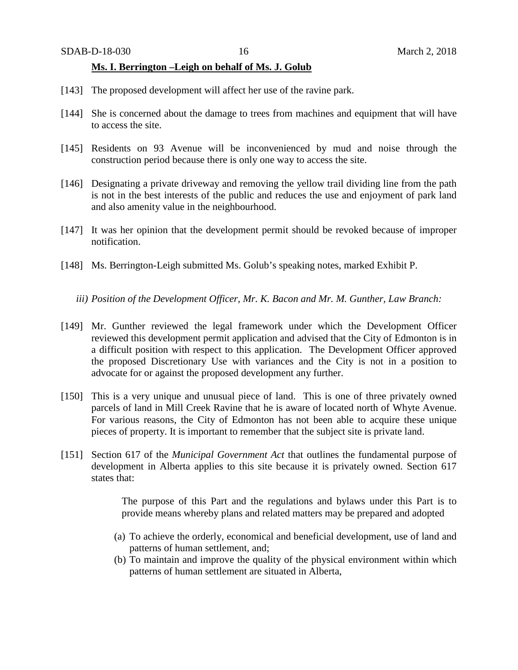### **Ms. I. Berrington –Leigh on behalf of Ms. J. Golub**

- [143] The proposed development will affect her use of the ravine park.
- [144] She is concerned about the damage to trees from machines and equipment that will have to access the site.
- [145] Residents on 93 Avenue will be inconvenienced by mud and noise through the construction period because there is only one way to access the site.
- [146] Designating a private driveway and removing the yellow trail dividing line from the path is not in the best interests of the public and reduces the use and enjoyment of park land and also amenity value in the neighbourhood.
- [147] It was her opinion that the development permit should be revoked because of improper notification.
- [148] Ms. Berrington-Leigh submitted Ms. Golub's speaking notes, marked Exhibit P.
	- *iii) Position of the Development Officer, Mr. K. Bacon and Mr. M. Gunther, Law Branch:*
- [149] Mr. Gunther reviewed the legal framework under which the Development Officer reviewed this development permit application and advised that the City of Edmonton is in a difficult position with respect to this application. The Development Officer approved the proposed Discretionary Use with variances and the City is not in a position to advocate for or against the proposed development any further.
- [150] This is a very unique and unusual piece of land. This is one of three privately owned parcels of land in Mill Creek Ravine that he is aware of located north of Whyte Avenue. For various reasons, the City of Edmonton has not been able to acquire these unique pieces of property. It is important to remember that the subject site is private land.
- [151] Section 617 of the *Municipal Government Act* that outlines the fundamental purpose of development in Alberta applies to this site because it is privately owned. Section 617 states that:

The purpose of this Part and the regulations and bylaws under this Part is to provide means whereby plans and related matters may be prepared and adopted

- (a) To achieve the orderly, economical and beneficial development, use of land and patterns of human settlement, and;
- (b) To maintain and improve the quality of the physical environment within which patterns of human settlement are situated in Alberta,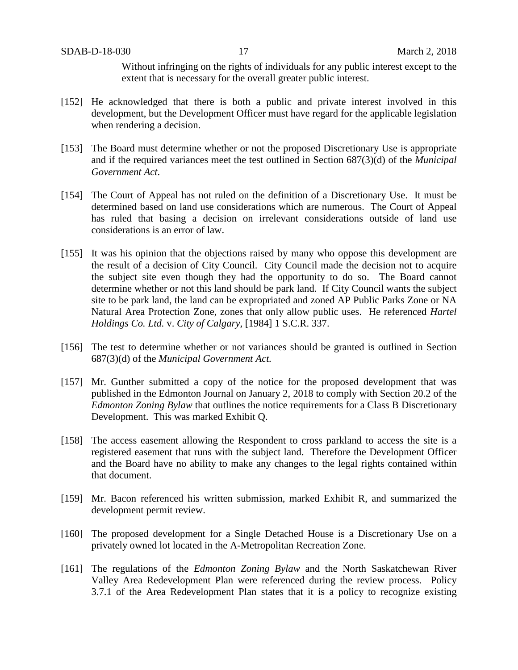Without infringing on the rights of individuals for any public interest except to the extent that is necessary for the overall greater public interest.

- [152] He acknowledged that there is both a public and private interest involved in this development, but the Development Officer must have regard for the applicable legislation when rendering a decision.
- [153] The Board must determine whether or not the proposed Discretionary Use is appropriate and if the required variances meet the test outlined in Section 687(3)(d) of the *Municipal Government Act*.
- [154] The Court of Appeal has not ruled on the definition of a Discretionary Use. It must be determined based on land use considerations which are numerous. The Court of Appeal has ruled that basing a decision on irrelevant considerations outside of land use considerations is an error of law.
- [155] It was his opinion that the objections raised by many who oppose this development are the result of a decision of City Council. City Council made the decision not to acquire the subject site even though they had the opportunity to do so. The Board cannot determine whether or not this land should be park land. If City Council wants the subject site to be park land, the land can be expropriated and zoned AP Public Parks Zone or NA Natural Area Protection Zone, zones that only allow public uses. He referenced *Hartel Holdings Co. Ltd.* v. *City of Calgary*, [1984] 1 S.C.R. 337.
- [156] The test to determine whether or not variances should be granted is outlined in Section 687(3)(d) of the *Municipal Government Act.*
- [157] Mr. Gunther submitted a copy of the notice for the proposed development that was published in the Edmonton Journal on January 2, 2018 to comply with Section 20.2 of the *Edmonton Zoning Bylaw* that outlines the notice requirements for a Class B Discretionary Development. This was marked Exhibit Q.
- [158] The access easement allowing the Respondent to cross parkland to access the site is a registered easement that runs with the subject land. Therefore the Development Officer and the Board have no ability to make any changes to the legal rights contained within that document.
- [159] Mr. Bacon referenced his written submission, marked Exhibit R, and summarized the development permit review.
- [160] The proposed development for a Single Detached House is a Discretionary Use on a privately owned lot located in the A-Metropolitan Recreation Zone.
- [161] The regulations of the *Edmonton Zoning Bylaw* and the North Saskatchewan River Valley Area Redevelopment Plan were referenced during the review process. Policy 3.7.1 of the Area Redevelopment Plan states that it is a policy to recognize existing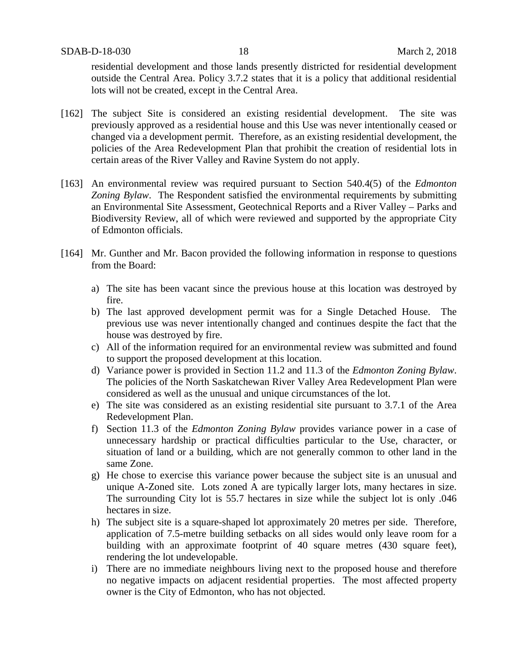residential development and those lands presently districted for residential development outside the Central Area. Policy 3.7.2 states that it is a policy that additional residential lots will not be created, except in the Central Area.

- [162] The subject Site is considered an existing residential development. The site was previously approved as a residential house and this Use was never intentionally ceased or changed via a development permit. Therefore, as an existing residential development, the policies of the Area Redevelopment Plan that prohibit the creation of residential lots in certain areas of the River Valley and Ravine System do not apply.
- [163] An environmental review was required pursuant to Section 540.4(5) of the *Edmonton Zoning Bylaw*. The Respondent satisfied the environmental requirements by submitting an Environmental Site Assessment, Geotechnical Reports and a River Valley – Parks and Biodiversity Review, all of which were reviewed and supported by the appropriate City of Edmonton officials.
- [164] Mr. Gunther and Mr. Bacon provided the following information in response to questions from the Board:
	- a) The site has been vacant since the previous house at this location was destroyed by fire.
	- b) The last approved development permit was for a Single Detached House. The previous use was never intentionally changed and continues despite the fact that the house was destroyed by fire.
	- c) All of the information required for an environmental review was submitted and found to support the proposed development at this location.
	- d) Variance power is provided in Section 11.2 and 11.3 of the *Edmonton Zoning Bylaw*. The policies of the North Saskatchewan River Valley Area Redevelopment Plan were considered as well as the unusual and unique circumstances of the lot.
	- e) The site was considered as an existing residential site pursuant to 3.7.1 of the Area Redevelopment Plan.
	- f) Section 11.3 of the *Edmonton Zoning Bylaw* provides variance power in a case of unnecessary hardship or practical difficulties particular to the Use, character, or situation of land or a building, which are not generally common to other land in the same Zone.
	- g) He chose to exercise this variance power because the subject site is an unusual and unique A-Zoned site. Lots zoned A are typically larger lots, many hectares in size. The surrounding City lot is 55.7 hectares in size while the subject lot is only .046 hectares in size.
	- h) The subject site is a square-shaped lot approximately 20 metres per side. Therefore, application of 7.5-metre building setbacks on all sides would only leave room for a building with an approximate footprint of 40 square metres (430 square feet), rendering the lot undevelopable.
	- i) There are no immediate neighbours living next to the proposed house and therefore no negative impacts on adjacent residential properties. The most affected property owner is the City of Edmonton, who has not objected.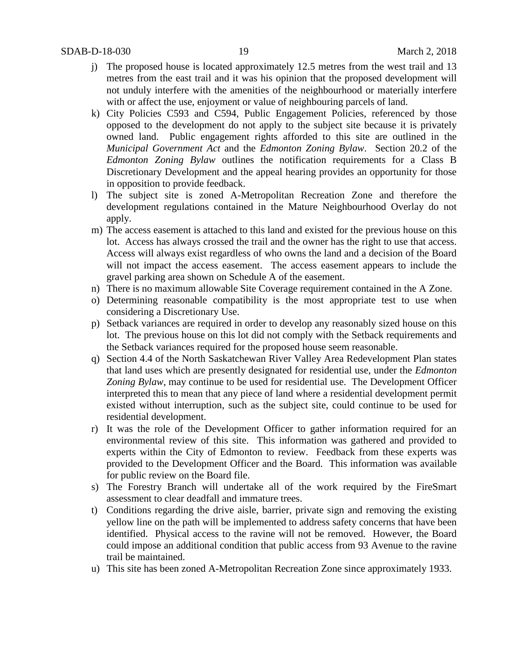- j) The proposed house is located approximately 12.5 metres from the west trail and 13 metres from the east trail and it was his opinion that the proposed development will not unduly interfere with the amenities of the neighbourhood or materially interfere with or affect the use, enjoyment or value of neighbouring parcels of land.
- k) City Policies C593 and C594, Public Engagement Policies, referenced by those opposed to the development do not apply to the subject site because it is privately owned land. Public engagement rights afforded to this site are outlined in the *Municipal Government Act* and the *Edmonton Zoning Bylaw*. Section 20.2 of the *Edmonton Zoning Bylaw* outlines the notification requirements for a Class B Discretionary Development and the appeal hearing provides an opportunity for those in opposition to provide feedback.
- l) The subject site is zoned A-Metropolitan Recreation Zone and therefore the development regulations contained in the Mature Neighbourhood Overlay do not apply.
- m) The access easement is attached to this land and existed for the previous house on this lot. Access has always crossed the trail and the owner has the right to use that access. Access will always exist regardless of who owns the land and a decision of the Board will not impact the access easement. The access easement appears to include the gravel parking area shown on Schedule A of the easement.
- n) There is no maximum allowable Site Coverage requirement contained in the A Zone.
- o) Determining reasonable compatibility is the most appropriate test to use when considering a Discretionary Use.
- p) Setback variances are required in order to develop any reasonably sized house on this lot. The previous house on this lot did not comply with the Setback requirements and the Setback variances required for the proposed house seem reasonable.
- q) Section 4.4 of the North Saskatchewan River Valley Area Redevelopment Plan states that land uses which are presently designated for residential use, under the *Edmonton Zoning Bylaw*, may continue to be used for residential use. The Development Officer interpreted this to mean that any piece of land where a residential development permit existed without interruption, such as the subject site, could continue to be used for residential development.
- r) It was the role of the Development Officer to gather information required for an environmental review of this site. This information was gathered and provided to experts within the City of Edmonton to review. Feedback from these experts was provided to the Development Officer and the Board. This information was available for public review on the Board file.
- s) The Forestry Branch will undertake all of the work required by the FireSmart assessment to clear deadfall and immature trees.
- t) Conditions regarding the drive aisle, barrier, private sign and removing the existing yellow line on the path will be implemented to address safety concerns that have been identified. Physical access to the ravine will not be removed. However, the Board could impose an additional condition that public access from 93 Avenue to the ravine trail be maintained.
- u) This site has been zoned A-Metropolitan Recreation Zone since approximately 1933.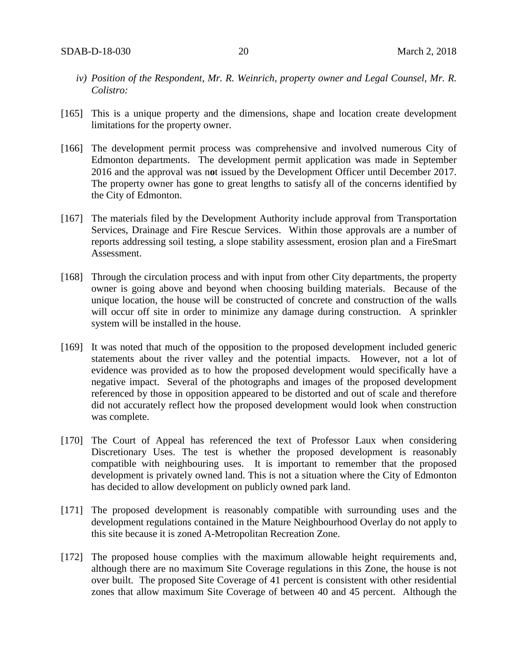- *iv) Position of the Respondent, Mr. R. Weinrich, property owner and Legal Counsel, Mr. R. Colistro:*
- [165] This is a unique property and the dimensions, shape and location create development limitations for the property owner.
- [166] The development permit process was comprehensive and involved numerous City of Edmonton departments. The development permit application was made in September 2016 and the approval was n**o**t issued by the Development Officer until December 2017. The property owner has gone to great lengths to satisfy all of the concerns identified by the City of Edmonton.
- [167] The materials filed by the Development Authority include approval from Transportation Services, Drainage and Fire Rescue Services. Within those approvals are a number of reports addressing soil testing, a slope stability assessment, erosion plan and a FireSmart Assessment.
- [168] Through the circulation process and with input from other City departments, the property owner is going above and beyond when choosing building materials. Because of the unique location, the house will be constructed of concrete and construction of the walls will occur off site in order to minimize any damage during construction. A sprinkler system will be installed in the house.
- [169] It was noted that much of the opposition to the proposed development included generic statements about the river valley and the potential impacts. However, not a lot of evidence was provided as to how the proposed development would specifically have a negative impact. Several of the photographs and images of the proposed development referenced by those in opposition appeared to be distorted and out of scale and therefore did not accurately reflect how the proposed development would look when construction was complete.
- [170] The Court of Appeal has referenced the text of Professor Laux when considering Discretionary Uses. The test is whether the proposed development is reasonably compatible with neighbouring uses. It is important to remember that the proposed development is privately owned land. This is not a situation where the City of Edmonton has decided to allow development on publicly owned park land.
- [171] The proposed development is reasonably compatible with surrounding uses and the development regulations contained in the Mature Neighbourhood Overlay do not apply to this site because it is zoned A-Metropolitan Recreation Zone.
- [172] The proposed house complies with the maximum allowable height requirements and, although there are no maximum Site Coverage regulations in this Zone, the house is not over built. The proposed Site Coverage of 41 percent is consistent with other residential zones that allow maximum Site Coverage of between 40 and 45 percent. Although the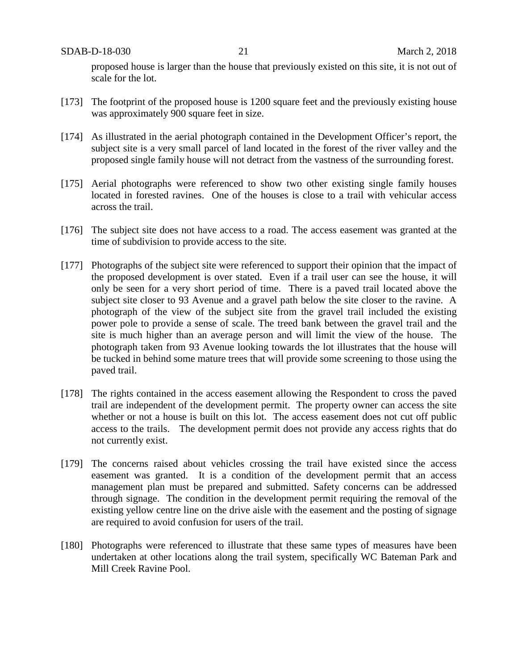proposed house is larger than the house that previously existed on this site, it is not out of scale for the lot.

- [173] The footprint of the proposed house is 1200 square feet and the previously existing house was approximately 900 square feet in size.
- [174] As illustrated in the aerial photograph contained in the Development Officer's report, the subject site is a very small parcel of land located in the forest of the river valley and the proposed single family house will not detract from the vastness of the surrounding forest.
- [175] Aerial photographs were referenced to show two other existing single family houses located in forested ravines. One of the houses is close to a trail with vehicular access across the trail.
- [176] The subject site does not have access to a road. The access easement was granted at the time of subdivision to provide access to the site.
- [177] Photographs of the subject site were referenced to support their opinion that the impact of the proposed development is over stated. Even if a trail user can see the house, it will only be seen for a very short period of time. There is a paved trail located above the subject site closer to 93 Avenue and a gravel path below the site closer to the ravine. A photograph of the view of the subject site from the gravel trail included the existing power pole to provide a sense of scale. The treed bank between the gravel trail and the site is much higher than an average person and will limit the view of the house. The photograph taken from 93 Avenue looking towards the lot illustrates that the house will be tucked in behind some mature trees that will provide some screening to those using the paved trail.
- [178] The rights contained in the access easement allowing the Respondent to cross the paved trail are independent of the development permit. The property owner can access the site whether or not a house is built on this lot. The access easement does not cut off public access to the trails. The development permit does not provide any access rights that do not currently exist.
- [179] The concerns raised about vehicles crossing the trail have existed since the access easement was granted. It is a condition of the development permit that an access management plan must be prepared and submitted. Safety concerns can be addressed through signage. The condition in the development permit requiring the removal of the existing yellow centre line on the drive aisle with the easement and the posting of signage are required to avoid confusion for users of the trail.
- [180] Photographs were referenced to illustrate that these same types of measures have been undertaken at other locations along the trail system, specifically WC Bateman Park and Mill Creek Ravine Pool.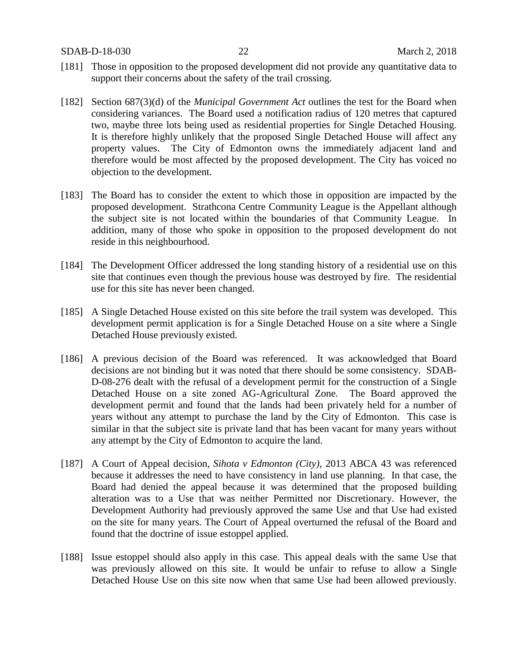- [181] Those in opposition to the proposed development did not provide any quantitative data to support their concerns about the safety of the trail crossing.
- [182] Section 687(3)(d) of the *Municipal Government Act* outlines the test for the Board when considering variances. The Board used a notification radius of 120 metres that captured two, maybe three lots being used as residential properties for Single Detached Housing. It is therefore highly unlikely that the proposed Single Detached House will affect any property values. The City of Edmonton owns the immediately adjacent land and therefore would be most affected by the proposed development. The City has voiced no objection to the development.
- [183] The Board has to consider the extent to which those in opposition are impacted by the proposed development. Strathcona Centre Community League is the Appellant although the subject site is not located within the boundaries of that Community League. In addition, many of those who spoke in opposition to the proposed development do not reside in this neighbourhood.
- [184] The Development Officer addressed the long standing history of a residential use on this site that continues even though the previous house was destroyed by fire. The residential use for this site has never been changed.
- [185] A Single Detached House existed on this site before the trail system was developed. This development permit application is for a Single Detached House on a site where a Single Detached House previously existed.
- [186] A previous decision of the Board was referenced. It was acknowledged that Board decisions are not binding but it was noted that there should be some consistency. SDAB-D-08-276 dealt with the refusal of a development permit for the construction of a Single Detached House on a site zoned AG-Agricultural Zone. The Board approved the development permit and found that the lands had been privately held for a number of years without any attempt to purchase the land by the City of Edmonton. This case is similar in that the subject site is private land that has been vacant for many years without any attempt by the City of Edmonton to acquire the land.
- [187] A Court of Appeal decision, *Sihota v Edmonton (City),* 2013 ABCA 43 was referenced because it addresses the need to have consistency in land use planning. In that case, the Board had denied the appeal because it was determined that the proposed building alteration was to a Use that was neither Permitted nor Discretionary. However, the Development Authority had previously approved the same Use and that Use had existed on the site for many years. The Court of Appeal overturned the refusal of the Board and found that the doctrine of issue estoppel applied.
- [188] Issue estoppel should also apply in this case. This appeal deals with the same Use that was previously allowed on this site. It would be unfair to refuse to allow a Single Detached House Use on this site now when that same Use had been allowed previously.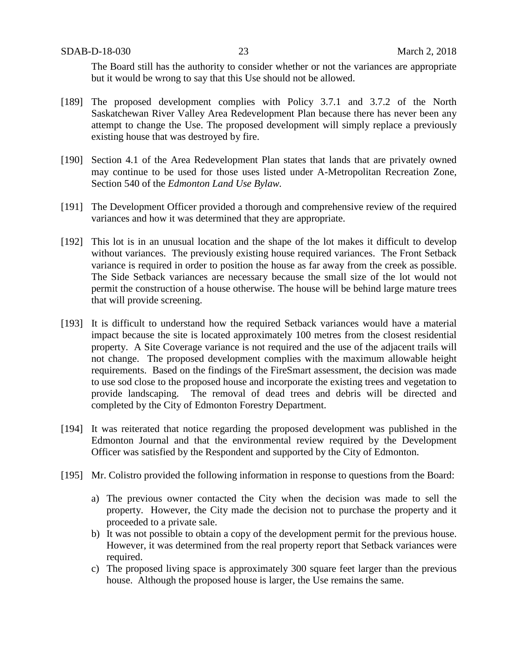The Board still has the authority to consider whether or not the variances are appropriate but it would be wrong to say that this Use should not be allowed.

- [189] The proposed development complies with Policy 3.7.1 and 3.7.2 of the North Saskatchewan River Valley Area Redevelopment Plan because there has never been any attempt to change the Use. The proposed development will simply replace a previously existing house that was destroyed by fire.
- [190] Section 4.1 of the Area Redevelopment Plan states that lands that are privately owned may continue to be used for those uses listed under A-Metropolitan Recreation Zone, Section 540 of the *Edmonton Land Use Bylaw.*
- [191] The Development Officer provided a thorough and comprehensive review of the required variances and how it was determined that they are appropriate.
- [192] This lot is in an unusual location and the shape of the lot makes it difficult to develop without variances. The previously existing house required variances. The Front Setback variance is required in order to position the house as far away from the creek as possible. The Side Setback variances are necessary because the small size of the lot would not permit the construction of a house otherwise. The house will be behind large mature trees that will provide screening.
- [193] It is difficult to understand how the required Setback variances would have a material impact because the site is located approximately 100 metres from the closest residential property. A Site Coverage variance is not required and the use of the adjacent trails will not change. The proposed development complies with the maximum allowable height requirements. Based on the findings of the FireSmart assessment, the decision was made to use sod close to the proposed house and incorporate the existing trees and vegetation to provide landscaping. The removal of dead trees and debris will be directed and completed by the City of Edmonton Forestry Department.
- [194] It was reiterated that notice regarding the proposed development was published in the Edmonton Journal and that the environmental review required by the Development Officer was satisfied by the Respondent and supported by the City of Edmonton.
- [195] Mr. Colistro provided the following information in response to questions from the Board:
	- a) The previous owner contacted the City when the decision was made to sell the property. However, the City made the decision not to purchase the property and it proceeded to a private sale.
	- b) It was not possible to obtain a copy of the development permit for the previous house. However, it was determined from the real property report that Setback variances were required.
	- c) The proposed living space is approximately 300 square feet larger than the previous house. Although the proposed house is larger, the Use remains the same.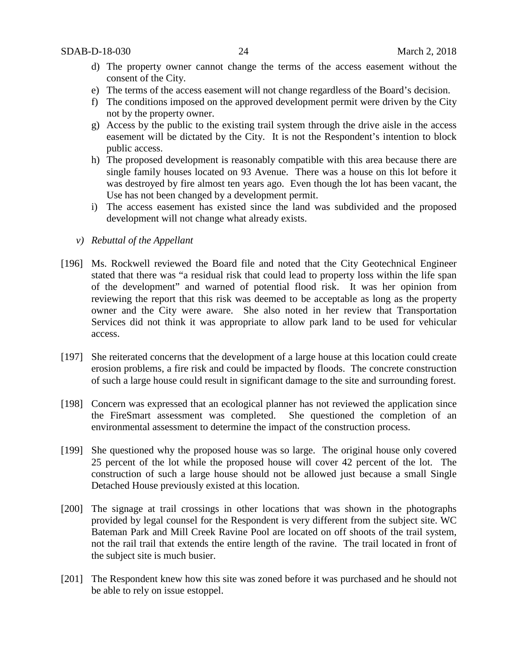- d) The property owner cannot change the terms of the access easement without the consent of the City.
- e) The terms of the access easement will not change regardless of the Board's decision.
- f) The conditions imposed on the approved development permit were driven by the City not by the property owner.
- g) Access by the public to the existing trail system through the drive aisle in the access easement will be dictated by the City. It is not the Respondent's intention to block public access.
- h) The proposed development is reasonably compatible with this area because there are single family houses located on 93 Avenue. There was a house on this lot before it was destroyed by fire almost ten years ago. Even though the lot has been vacant, the Use has not been changed by a development permit.
- i) The access easement has existed since the land was subdivided and the proposed development will not change what already exists.
- *v) Rebuttal of the Appellant*
- [196] Ms. Rockwell reviewed the Board file and noted that the City Geotechnical Engineer stated that there was "a residual risk that could lead to property loss within the life span of the development" and warned of potential flood risk. It was her opinion from reviewing the report that this risk was deemed to be acceptable as long as the property owner and the City were aware. She also noted in her review that Transportation Services did not think it was appropriate to allow park land to be used for vehicular access.
- [197] She reiterated concerns that the development of a large house at this location could create erosion problems, a fire risk and could be impacted by floods. The concrete construction of such a large house could result in significant damage to the site and surrounding forest.
- [198] Concern was expressed that an ecological planner has not reviewed the application since the FireSmart assessment was completed. She questioned the completion of an environmental assessment to determine the impact of the construction process.
- [199] She questioned why the proposed house was so large. The original house only covered 25 percent of the lot while the proposed house will cover 42 percent of the lot. The construction of such a large house should not be allowed just because a small Single Detached House previously existed at this location.
- [200] The signage at trail crossings in other locations that was shown in the photographs provided by legal counsel for the Respondent is very different from the subject site. WC Bateman Park and Mill Creek Ravine Pool are located on off shoots of the trail system, not the rail trail that extends the entire length of the ravine. The trail located in front of the subject site is much busier.
- [201] The Respondent knew how this site was zoned before it was purchased and he should not be able to rely on issue estoppel.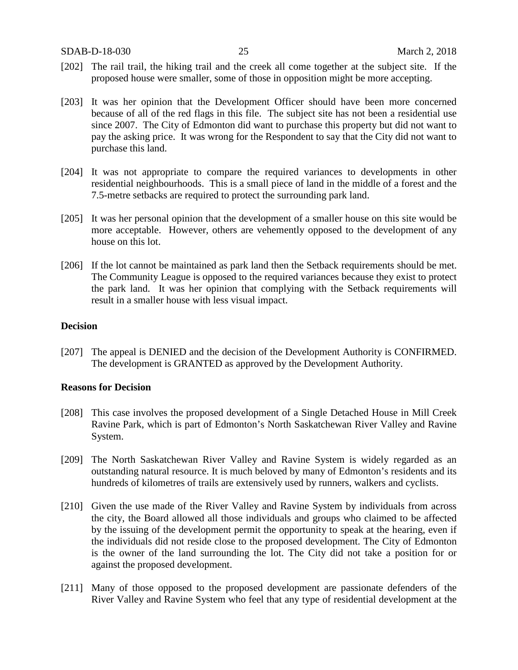- [202] The rail trail, the hiking trail and the creek all come together at the subject site. If the proposed house were smaller, some of those in opposition might be more accepting.
- [203] It was her opinion that the Development Officer should have been more concerned because of all of the red flags in this file. The subject site has not been a residential use since 2007. The City of Edmonton did want to purchase this property but did not want to pay the asking price. It was wrong for the Respondent to say that the City did not want to purchase this land.
- [204] It was not appropriate to compare the required variances to developments in other residential neighbourhoods. This is a small piece of land in the middle of a forest and the 7.5-metre setbacks are required to protect the surrounding park land.
- [205] It was her personal opinion that the development of a smaller house on this site would be more acceptable. However, others are vehemently opposed to the development of any house on this lot.
- [206] If the lot cannot be maintained as park land then the Setback requirements should be met. The Community League is opposed to the required variances because they exist to protect the park land. It was her opinion that complying with the Setback requirements will result in a smaller house with less visual impact.

## **Decision**

[207] The appeal is DENIED and the decision of the Development Authority is CONFIRMED. The development is GRANTED as approved by the Development Authority.

## **Reasons for Decision**

- [208] This case involves the proposed development of a Single Detached House in Mill Creek Ravine Park, which is part of Edmonton's North Saskatchewan River Valley and Ravine System.
- [209] The North Saskatchewan River Valley and Ravine System is widely regarded as an outstanding natural resource. It is much beloved by many of Edmonton's residents and its hundreds of kilometres of trails are extensively used by runners, walkers and cyclists.
- [210] Given the use made of the River Valley and Ravine System by individuals from across the city, the Board allowed all those individuals and groups who claimed to be affected by the issuing of the development permit the opportunity to speak at the hearing, even if the individuals did not reside close to the proposed development. The City of Edmonton is the owner of the land surrounding the lot. The City did not take a position for or against the proposed development.
- [211] Many of those opposed to the proposed development are passionate defenders of the River Valley and Ravine System who feel that any type of residential development at the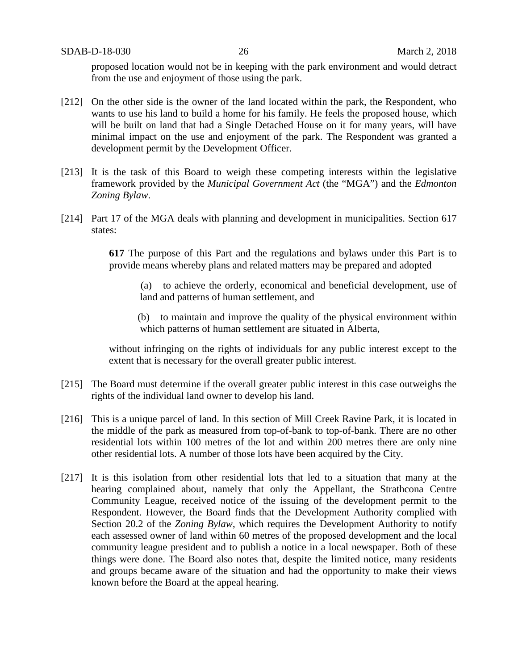proposed location would not be in keeping with the park environment and would detract from the use and enjoyment of those using the park.

- [212] On the other side is the owner of the land located within the park, the Respondent, who wants to use his land to build a home for his family. He feels the proposed house, which will be built on land that had a Single Detached House on it for many years, will have minimal impact on the use and enjoyment of the park. The Respondent was granted a development permit by the Development Officer.
- [213] It is the task of this Board to weigh these competing interests within the legislative framework provided by the *Municipal Government Act* (the "MGA") and the *Edmonton Zoning Bylaw*.
- [214] Part 17 of the MGA deals with planning and development in municipalities. Section 617 states:

**617** The purpose of this Part and the regulations and bylaws under this Part is to provide means whereby plans and related matters may be prepared and adopted

 (a) to achieve the orderly, economical and beneficial development, use of land and patterns of human settlement, and

 (b) to maintain and improve the quality of the physical environment within which patterns of human settlement are situated in Alberta,

without infringing on the rights of individuals for any public interest except to the extent that is necessary for the overall greater public interest.

- [215] The Board must determine if the overall greater public interest in this case outweighs the rights of the individual land owner to develop his land.
- [216] This is a unique parcel of land. In this section of Mill Creek Ravine Park, it is located in the middle of the park as measured from top-of-bank to top-of-bank. There are no other residential lots within 100 metres of the lot and within 200 metres there are only nine other residential lots. A number of those lots have been acquired by the City.
- [217] It is this isolation from other residential lots that led to a situation that many at the hearing complained about, namely that only the Appellant, the Strathcona Centre Community League, received notice of the issuing of the development permit to the Respondent. However, the Board finds that the Development Authority complied with Section 20.2 of the *Zoning Bylaw*, which requires the Development Authority to notify each assessed owner of land within 60 metres of the proposed development and the local community league president and to publish a notice in a local newspaper. Both of these things were done. The Board also notes that, despite the limited notice, many residents and groups became aware of the situation and had the opportunity to make their views known before the Board at the appeal hearing.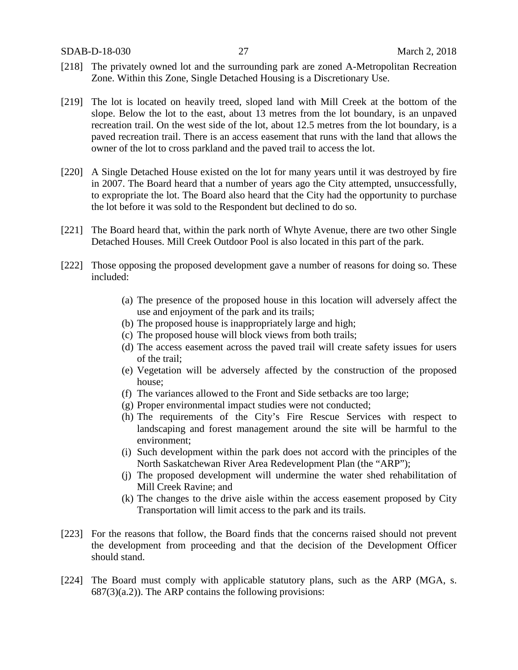- [218] The privately owned lot and the surrounding park are zoned A-Metropolitan Recreation Zone. Within this Zone, Single Detached Housing is a Discretionary Use.
- [219] The lot is located on heavily treed, sloped land with Mill Creek at the bottom of the slope. Below the lot to the east, about 13 metres from the lot boundary, is an unpaved recreation trail. On the west side of the lot, about 12.5 metres from the lot boundary, is a paved recreation trail. There is an access easement that runs with the land that allows the owner of the lot to cross parkland and the paved trail to access the lot.
- [220] A Single Detached House existed on the lot for many years until it was destroyed by fire in 2007. The Board heard that a number of years ago the City attempted, unsuccessfully, to expropriate the lot. The Board also heard that the City had the opportunity to purchase the lot before it was sold to the Respondent but declined to do so.
- [221] The Board heard that, within the park north of Whyte Avenue, there are two other Single Detached Houses. Mill Creek Outdoor Pool is also located in this part of the park.
- [222] Those opposing the proposed development gave a number of reasons for doing so. These included:
	- (a) The presence of the proposed house in this location will adversely affect the use and enjoyment of the park and its trails;
	- (b) The proposed house is inappropriately large and high;
	- (c) The proposed house will block views from both trails;
	- (d) The access easement across the paved trail will create safety issues for users of the trail;
	- (e) Vegetation will be adversely affected by the construction of the proposed house;
	- (f) The variances allowed to the Front and Side setbacks are too large;
	- (g) Proper environmental impact studies were not conducted;
	- (h) The requirements of the City's Fire Rescue Services with respect to landscaping and forest management around the site will be harmful to the environment;
	- (i) Such development within the park does not accord with the principles of the North Saskatchewan River Area Redevelopment Plan (the "ARP");
	- (j) The proposed development will undermine the water shed rehabilitation of Mill Creek Ravine; and
	- (k) The changes to the drive aisle within the access easement proposed by City Transportation will limit access to the park and its trails.
- [223] For the reasons that follow, the Board finds that the concerns raised should not prevent the development from proceeding and that the decision of the Development Officer should stand.
- [224] The Board must comply with applicable statutory plans, such as the ARP (MGA, s.  $687(3)(a.2)$ . The ARP contains the following provisions: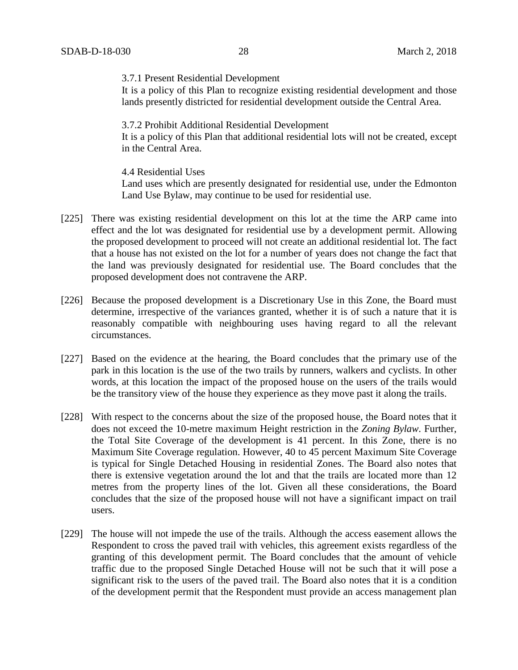3.7.1 Present Residential Development

It is a policy of this Plan to recognize existing residential development and those lands presently districted for residential development outside the Central Area.

3.7.2 Prohibit Additional Residential Development

It is a policy of this Plan that additional residential lots will not be created, except in the Central Area.

4.4 Residential Uses Land uses which are presently designated for residential use, under the Edmonton Land Use Bylaw, may continue to be used for residential use.

- [225] There was existing residential development on this lot at the time the ARP came into effect and the lot was designated for residential use by a development permit. Allowing the proposed development to proceed will not create an additional residential lot. The fact that a house has not existed on the lot for a number of years does not change the fact that the land was previously designated for residential use. The Board concludes that the proposed development does not contravene the ARP.
- [226] Because the proposed development is a Discretionary Use in this Zone, the Board must determine, irrespective of the variances granted, whether it is of such a nature that it is reasonably compatible with neighbouring uses having regard to all the relevant circumstances.
- [227] Based on the evidence at the hearing, the Board concludes that the primary use of the park in this location is the use of the two trails by runners, walkers and cyclists. In other words, at this location the impact of the proposed house on the users of the trails would be the transitory view of the house they experience as they move past it along the trails.
- [228] With respect to the concerns about the size of the proposed house, the Board notes that it does not exceed the 10-metre maximum Height restriction in the *Zoning Bylaw*. Further, the Total Site Coverage of the development is 41 percent. In this Zone, there is no Maximum Site Coverage regulation. However, 40 to 45 percent Maximum Site Coverage is typical for Single Detached Housing in residential Zones. The Board also notes that there is extensive vegetation around the lot and that the trails are located more than 12 metres from the property lines of the lot. Given all these considerations, the Board concludes that the size of the proposed house will not have a significant impact on trail users.
- [229] The house will not impede the use of the trails. Although the access easement allows the Respondent to cross the paved trail with vehicles, this agreement exists regardless of the granting of this development permit. The Board concludes that the amount of vehicle traffic due to the proposed Single Detached House will not be such that it will pose a significant risk to the users of the paved trail. The Board also notes that it is a condition of the development permit that the Respondent must provide an access management plan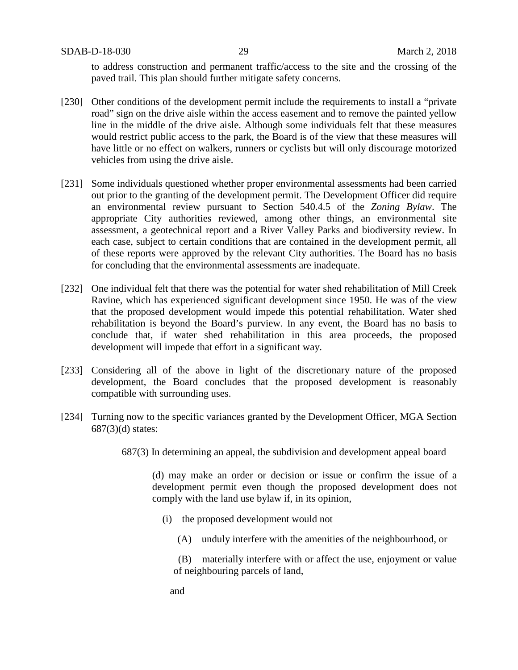SDAB-D-18-030 29 March 2, 2018

to address construction and permanent traffic/access to the site and the crossing of the paved trail. This plan should further mitigate safety concerns.

- [230] Other conditions of the development permit include the requirements to install a "private road" sign on the drive aisle within the access easement and to remove the painted yellow line in the middle of the drive aisle. Although some individuals felt that these measures would restrict public access to the park, the Board is of the view that these measures will have little or no effect on walkers, runners or cyclists but will only discourage motorized vehicles from using the drive aisle.
- [231] Some individuals questioned whether proper environmental assessments had been carried out prior to the granting of the development permit. The Development Officer did require an environmental review pursuant to Section 540.4.5 of the *Zoning Bylaw*. The appropriate City authorities reviewed, among other things, an environmental site assessment, a geotechnical report and a River Valley Parks and biodiversity review. In each case, subject to certain conditions that are contained in the development permit, all of these reports were approved by the relevant City authorities. The Board has no basis for concluding that the environmental assessments are inadequate.
- [232] One individual felt that there was the potential for water shed rehabilitation of Mill Creek Ravine, which has experienced significant development since 1950. He was of the view that the proposed development would impede this potential rehabilitation. Water shed rehabilitation is beyond the Board's purview. In any event, the Board has no basis to conclude that, if water shed rehabilitation in this area proceeds, the proposed development will impede that effort in a significant way.
- [233] Considering all of the above in light of the discretionary nature of the proposed development, the Board concludes that the proposed development is reasonably compatible with surrounding uses.
- [234] Turning now to the specific variances granted by the Development Officer, MGA Section 687(3)(d) states:

687(3) In determining an appeal, the subdivision and development appeal board

(d) may make an order or decision or issue or confirm the issue of a development permit even though the proposed development does not comply with the land use bylaw if, in its opinion,

- (i) the proposed development would not
	- (A) unduly interfere with the amenities of the neighbourhood, or
	- (B) materially interfere with or affect the use, enjoyment or value of neighbouring parcels of land,
	- and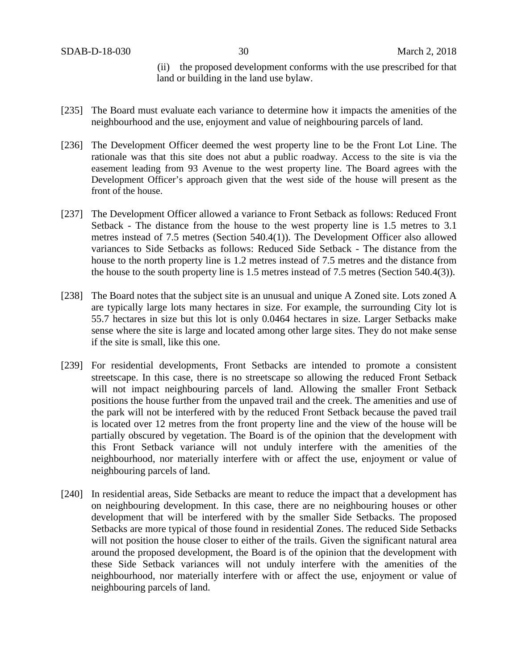(ii) the proposed development conforms with the use prescribed for that land or building in the land use bylaw.

- [235] The Board must evaluate each variance to determine how it impacts the amenities of the neighbourhood and the use, enjoyment and value of neighbouring parcels of land.
- [236] The Development Officer deemed the west property line to be the Front Lot Line. The rationale was that this site does not abut a public roadway. Access to the site is via the easement leading from 93 Avenue to the west property line. The Board agrees with the Development Officer's approach given that the west side of the house will present as the front of the house.
- [237] The Development Officer allowed a variance to Front Setback as follows: Reduced Front Setback - The distance from the house to the west property line is 1.5 metres to 3.1 metres instead of 7.5 metres (Section 540.4(1)). The Development Officer also allowed variances to Side Setbacks as follows: Reduced Side Setback - The distance from the house to the north property line is 1.2 metres instead of 7.5 metres and the distance from the house to the south property line is 1.5 metres instead of 7.5 metres (Section 540.4(3)).
- [238] The Board notes that the subject site is an unusual and unique A Zoned site. Lots zoned A are typically large lots many hectares in size. For example, the surrounding City lot is 55.7 hectares in size but this lot is only 0.0464 hectares in size. Larger Setbacks make sense where the site is large and located among other large sites. They do not make sense if the site is small, like this one.
- [239] For residential developments, Front Setbacks are intended to promote a consistent streetscape. In this case, there is no streetscape so allowing the reduced Front Setback will not impact neighbouring parcels of land. Allowing the smaller Front Setback positions the house further from the unpaved trail and the creek. The amenities and use of the park will not be interfered with by the reduced Front Setback because the paved trail is located over 12 metres from the front property line and the view of the house will be partially obscured by vegetation. The Board is of the opinion that the development with this Front Setback variance will not unduly interfere with the amenities of the neighbourhood, nor materially interfere with or affect the use, enjoyment or value of neighbouring parcels of land.
- [240] In residential areas, Side Setbacks are meant to reduce the impact that a development has on neighbouring development. In this case, there are no neighbouring houses or other development that will be interfered with by the smaller Side Setbacks. The proposed Setbacks are more typical of those found in residential Zones. The reduced Side Setbacks will not position the house closer to either of the trails. Given the significant natural area around the proposed development, the Board is of the opinion that the development with these Side Setback variances will not unduly interfere with the amenities of the neighbourhood, nor materially interfere with or affect the use, enjoyment or value of neighbouring parcels of land.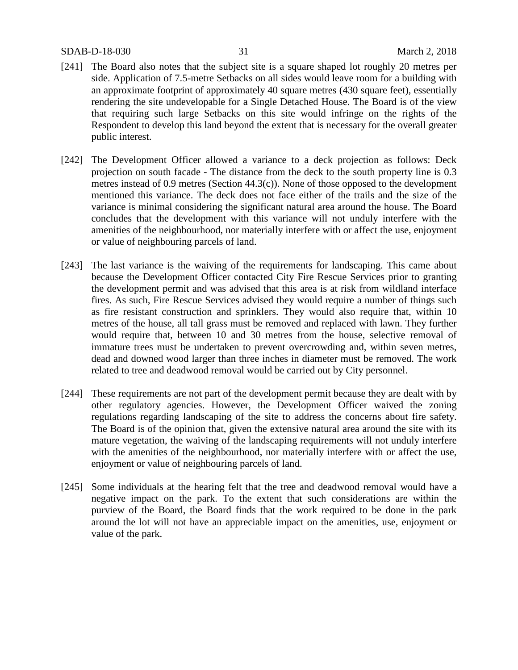## SDAB-D-18-030 31 March 2, 2018

- [241] The Board also notes that the subject site is a square shaped lot roughly 20 metres per side. Application of 7.5-metre Setbacks on all sides would leave room for a building with an approximate footprint of approximately 40 square metres (430 square feet), essentially rendering the site undevelopable for a Single Detached House. The Board is of the view that requiring such large Setbacks on this site would infringe on the rights of the Respondent to develop this land beyond the extent that is necessary for the overall greater public interest.
- [242] The Development Officer allowed a variance to a deck projection as follows: Deck projection on south facade - The distance from the deck to the south property line is 0.3 metres instead of 0.9 metres (Section 44.3(c)). None of those opposed to the development mentioned this variance. The deck does not face either of the trails and the size of the variance is minimal considering the significant natural area around the house. The Board concludes that the development with this variance will not unduly interfere with the amenities of the neighbourhood, nor materially interfere with or affect the use, enjoyment or value of neighbouring parcels of land.
- [243] The last variance is the waiving of the requirements for landscaping. This came about because the Development Officer contacted City Fire Rescue Services prior to granting the development permit and was advised that this area is at risk from wildland interface fires. As such, Fire Rescue Services advised they would require a number of things such as fire resistant construction and sprinklers. They would also require that, within 10 metres of the house, all tall grass must be removed and replaced with lawn. They further would require that, between 10 and 30 metres from the house, selective removal of immature trees must be undertaken to prevent overcrowding and, within seven metres, dead and downed wood larger than three inches in diameter must be removed. The work related to tree and deadwood removal would be carried out by City personnel.
- [244] These requirements are not part of the development permit because they are dealt with by other regulatory agencies. However, the Development Officer waived the zoning regulations regarding landscaping of the site to address the concerns about fire safety. The Board is of the opinion that, given the extensive natural area around the site with its mature vegetation, the waiving of the landscaping requirements will not unduly interfere with the amenities of the neighbourhood, nor materially interfere with or affect the use, enjoyment or value of neighbouring parcels of land.
- [245] Some individuals at the hearing felt that the tree and deadwood removal would have a negative impact on the park. To the extent that such considerations are within the purview of the Board, the Board finds that the work required to be done in the park around the lot will not have an appreciable impact on the amenities, use, enjoyment or value of the park.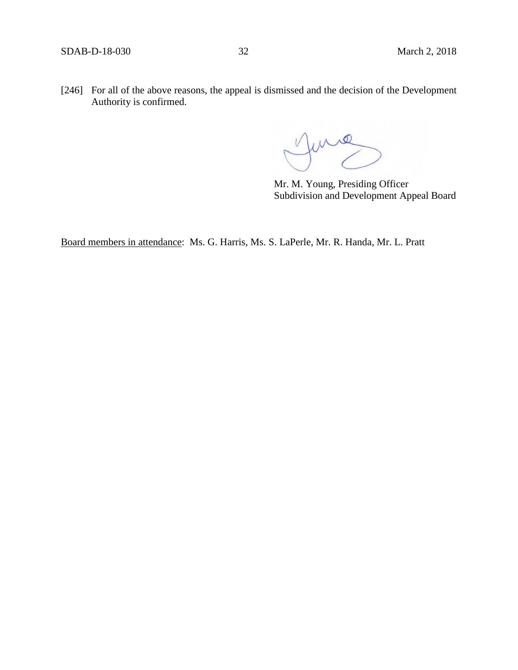[246] For all of the above reasons, the appeal is dismissed and the decision of the Development Authority is confirmed.

 $\triangle \mathcal{Q}$ 

Mr. M. Young, Presiding Officer Subdivision and Development Appeal Board

Board members in attendance: Ms. G. Harris, Ms. S. LaPerle, Mr. R. Handa, Mr. L. Pratt